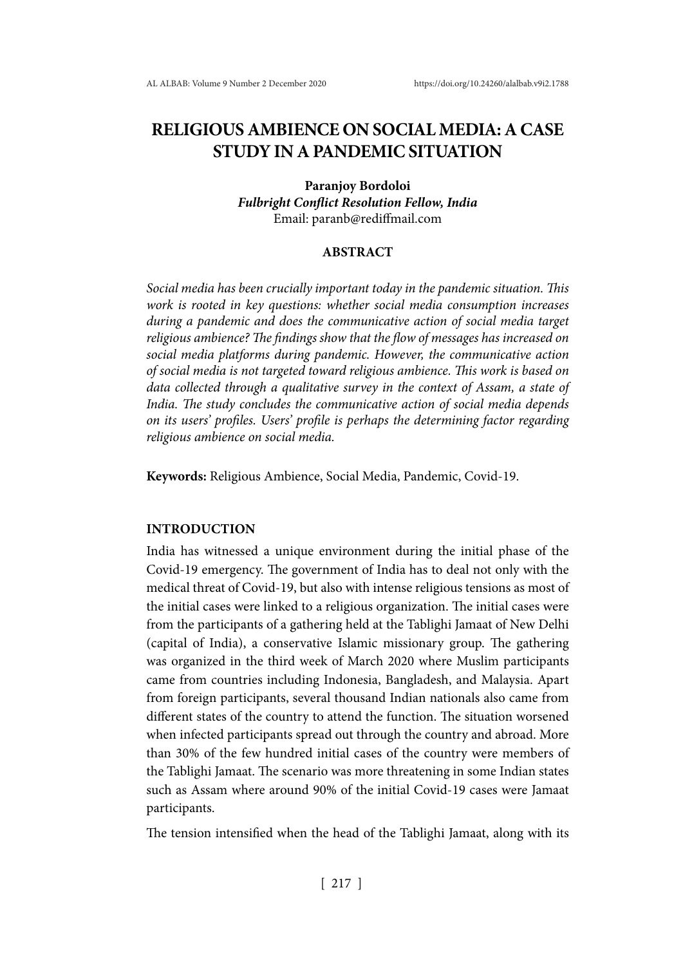# **RELIGIOUS AMBIENCE ON SOCIAL MEDIA: A CASE STUDY IN A PANDEMIC SITUATION**

# **Paranjoy Bordoloi** *Fulbright Conflict Resolution Fellow, India* Email: paranb@rediffmail.com

# **ABSTRACT**

*Social media has been crucially important today in the pandemic situation. This work is rooted in key questions: whether social media consumption increases during a pandemic and does the communicative action of social media target religious ambience? The findings show that the flow of messages has increased on social media platforms during pandemic. However, the communicative action of social media is not targeted toward religious ambience. This work is based on data collected through a qualitative survey in the context of Assam, a state of India. The study concludes the communicative action of social media depends on its users' profiles. Users' profile is perhaps the determining factor regarding religious ambience on social media.*

**Keywords:** Religious Ambience, Social Media, Pandemic, Covid-19.

# **INTRODUCTION**

India has witnessed a unique environment during the initial phase of the Covid-19 emergency. The government of India has to deal not only with the medical threat of Covid-19, but also with intense religious tensions as most of the initial cases were linked to a religious organization. The initial cases were from the participants of a gathering held at the Tablighi Jamaat of New Delhi (capital of India), a conservative Islamic missionary group. The gathering was organized in the third week of March 2020 where Muslim participants came from countries including Indonesia, Bangladesh, and Malaysia. Apart from foreign participants, several thousand Indian nationals also came from different states of the country to attend the function. The situation worsened when infected participants spread out through the country and abroad. More than 30% of the few hundred initial cases of the country were members of the Tablighi Jamaat. The scenario was more threatening in some Indian states such as Assam where around 90% of the initial Covid-19 cases were Jamaat participants.

The tension intensified when the head of the Tablighi Jamaat, along with its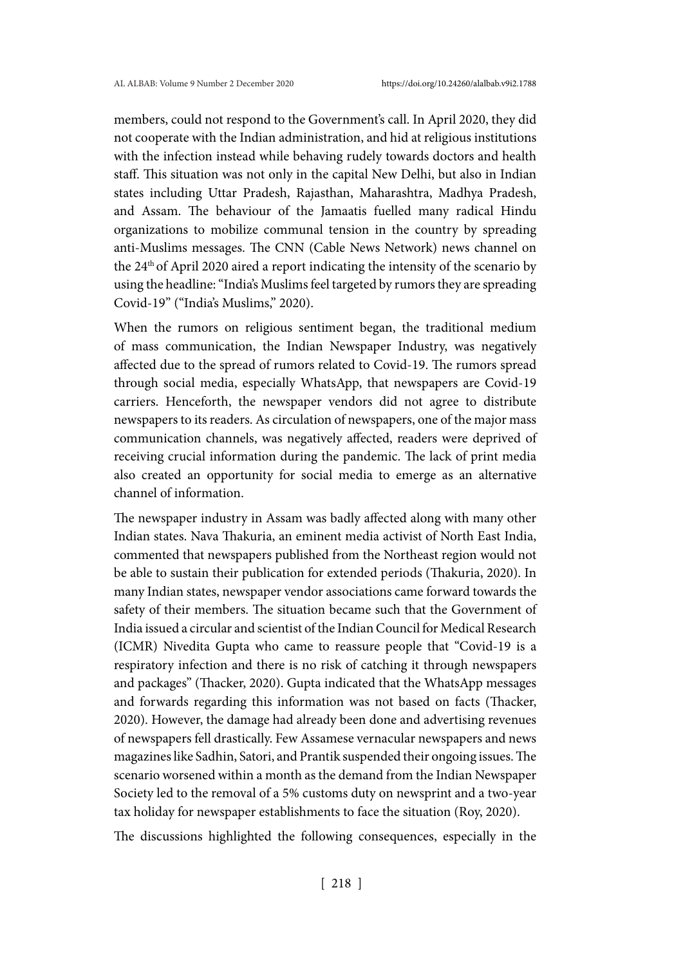members, could not respond to the Government's call. In April 2020, they did not cooperate with the Indian administration, and hid at religious institutions with the infection instead while behaving rudely towards doctors and health staff. This situation was not only in the capital New Delhi, but also in Indian states including Uttar Pradesh, Rajasthan, Maharashtra, Madhya Pradesh, and Assam. The behaviour of the Jamaatis fuelled many radical Hindu organizations to mobilize communal tension in the country by spreading anti-Muslims messages. The CNN (Cable News Network) news channel on the 24th of April 2020 aired a report indicating the intensity of the scenario by using the headline: "India's Muslims feel targeted by rumors they are spreading Covid-19" ("India's Muslims," 2020).

When the rumors on religious sentiment began, the traditional medium of mass communication, the Indian Newspaper Industry, was negatively affected due to the spread of rumors related to Covid-19. The rumors spread through social media, especially WhatsApp, that newspapers are Covid-19 carriers. Henceforth, the newspaper vendors did not agree to distribute newspapers to its readers. As circulation of newspapers, one of the major mass communication channels, was negatively affected, readers were deprived of receiving crucial information during the pandemic. The lack of print media also created an opportunity for social media to emerge as an alternative channel of information.

The newspaper industry in Assam was badly affected along with many other Indian states. Nava Thakuria, an eminent media activist of North East India, commented that newspapers published from the Northeast region would not be able to sustain their publication for extended periods (Thakuria, 2020). In many Indian states, newspaper vendor associations came forward towards the safety of their members. The situation became such that the Government of India issued a circular and scientist of the Indian Council for Medical Research (ICMR) Nivedita Gupta who came to reassure people that "Covid-19 is a respiratory infection and there is no risk of catching it through newspapers and packages" (Thacker, 2020). Gupta indicated that the WhatsApp messages and forwards regarding this information was not based on facts (Thacker, 2020). However, the damage had already been done and advertising revenues of newspapers fell drastically. Few Assamese vernacular newspapers and news magazines like Sadhin, Satori, and Prantik suspended their ongoing issues. The scenario worsened within a month as the demand from the Indian Newspaper Society led to the removal of a 5% customs duty on newsprint and a two-year tax holiday for newspaper establishments to face the situation (Roy, 2020).

The discussions highlighted the following consequences, especially in the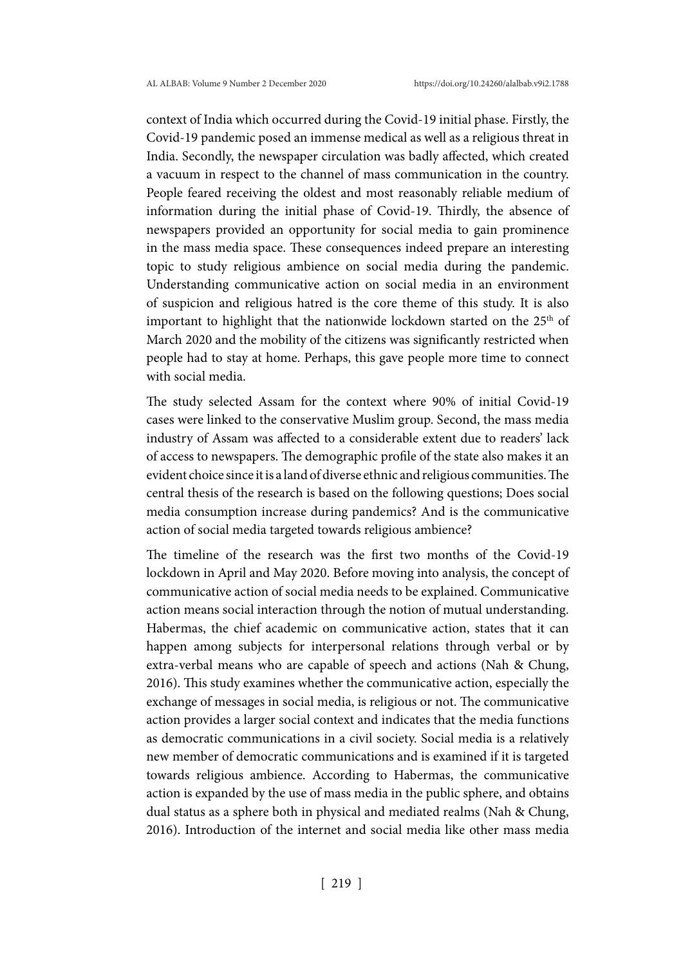context of India which occurred during the Covid-19 initial phase. Firstly, the Covid-19 pandemic posed an immense medical as well as a religious threat in India. Secondly, the newspaper circulation was badly affected, which created a vacuum in respect to the channel of mass communication in the country. People feared receiving the oldest and most reasonably reliable medium of information during the initial phase of Covid-19. Thirdly, the absence of newspapers provided an opportunity for social media to gain prominence in the mass media space. These consequences indeed prepare an interesting topic to study religious ambience on social media during the pandemic. Understanding communicative action on social media in an environment of suspicion and religious hatred is the core theme of this study. It is also important to highlight that the nationwide lockdown started on the 25<sup>th</sup> of March 2020 and the mobility of the citizens was significantly restricted when people had to stay at home. Perhaps, this gave people more time to connect with social media.

The study selected Assam for the context where 90% of initial Covid-19 cases were linked to the conservative Muslim group. Second, the mass media industry of Assam was affected to a considerable extent due to readers' lack of access to newspapers. The demographic profile of the state also makes it an evident choice since it is a land of diverse ethnic and religious communities. The central thesis of the research is based on the following questions; Does social media consumption increase during pandemics? And is the communicative action of social media targeted towards religious ambience?

The timeline of the research was the first two months of the Covid-19 lockdown in April and May 2020. Before moving into analysis, the concept of communicative action of social media needs to be explained. Communicative action means social interaction through the notion of mutual understanding. Habermas, the chief academic on communicative action, states that it can happen among subjects for interpersonal relations through verbal or by extra-verbal means who are capable of speech and actions (Nah & Chung, 2016). This study examines whether the communicative action, especially the exchange of messages in social media, is religious or not. The communicative action provides a larger social context and indicates that the media functions as democratic communications in a civil society. Social media is a relatively new member of democratic communications and is examined if it is targeted towards religious ambience. According to Habermas, the communicative action is expanded by the use of mass media in the public sphere, and obtains dual status as a sphere both in physical and mediated realms (Nah & Chung, 2016). Introduction of the internet and social media like other mass media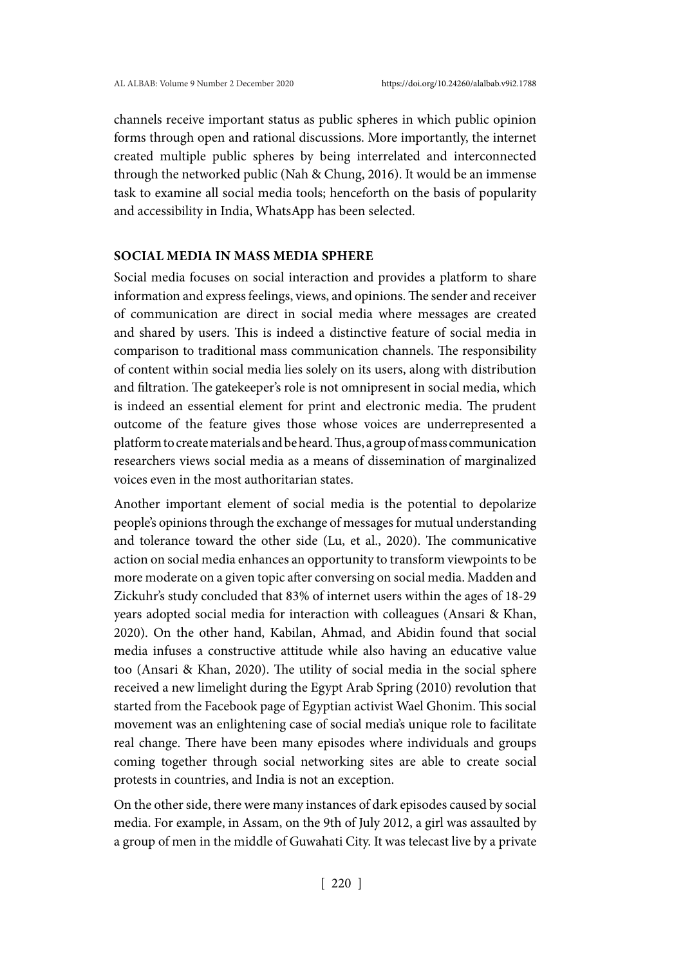channels receive important status as public spheres in which public opinion forms through open and rational discussions. More importantly, the internet created multiple public spheres by being interrelated and interconnected through the networked public (Nah & Chung, 2016). It would be an immense task to examine all social media tools; henceforth on the basis of popularity and accessibility in India, WhatsApp has been selected.

#### **SOCIAL MEDIA IN MASS MEDIA SPHERE**

Social media focuses on social interaction and provides a platform to share information and express feelings, views, and opinions. The sender and receiver of communication are direct in social media where messages are created and shared by users. This is indeed a distinctive feature of social media in comparison to traditional mass communication channels. The responsibility of content within social media lies solely on its users, along with distribution and filtration. The gatekeeper's role is not omnipresent in social media, which is indeed an essential element for print and electronic media. The prudent outcome of the feature gives those whose voices are underrepresented a platform to create materials and be heard. Thus, a group of mass communication researchers views social media as a means of dissemination of marginalized voices even in the most authoritarian states.

Another important element of social media is the potential to depolarize people's opinions through the exchange of messages for mutual understanding and tolerance toward the other side (Lu, et al., 2020). The communicative action on social media enhances an opportunity to transform viewpoints to be more moderate on a given topic after conversing on social media. Madden and Zickuhr's study concluded that 83% of internet users within the ages of 18-29 years adopted social media for interaction with colleagues (Ansari & Khan, 2020). On the other hand, Kabilan, Ahmad, and Abidin found that social media infuses a constructive attitude while also having an educative value too (Ansari & Khan, 2020). The utility of social media in the social sphere received a new limelight during the Egypt Arab Spring (2010) revolution that started from the Facebook page of Egyptian activist Wael Ghonim. This social movement was an enlightening case of social media's unique role to facilitate real change. There have been many episodes where individuals and groups coming together through social networking sites are able to create social protests in countries, and India is not an exception.

On the other side, there were many instances of dark episodes caused by social media. For example, in Assam, on the 9th of July 2012, a girl was assaulted by a group of men in the middle of Guwahati City. It was telecast live by a private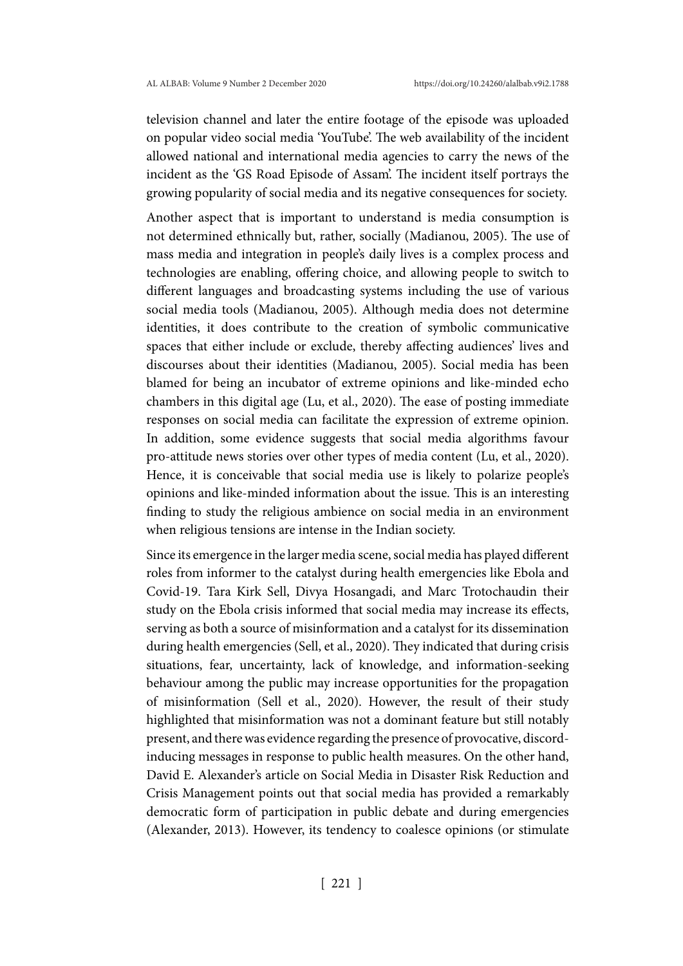television channel and later the entire footage of the episode was uploaded on popular video social media 'YouTube'. The web availability of the incident allowed national and international media agencies to carry the news of the incident as the 'GS Road Episode of Assam'. The incident itself portrays the growing popularity of social media and its negative consequences for society.

Another aspect that is important to understand is media consumption is not determined ethnically but, rather, socially (Madianou, 2005). The use of mass media and integration in people's daily lives is a complex process and technologies are enabling, offering choice, and allowing people to switch to different languages and broadcasting systems including the use of various social media tools (Madianou, 2005). Although media does not determine identities, it does contribute to the creation of symbolic communicative spaces that either include or exclude, thereby affecting audiences' lives and discourses about their identities (Madianou, 2005). Social media has been blamed for being an incubator of extreme opinions and like-minded echo chambers in this digital age (Lu, et al., 2020). The ease of posting immediate responses on social media can facilitate the expression of extreme opinion. In addition, some evidence suggests that social media algorithms favour pro-attitude news stories over other types of media content (Lu, et al., 2020). Hence, it is conceivable that social media use is likely to polarize people's opinions and like-minded information about the issue. This is an interesting finding to study the religious ambience on social media in an environment when religious tensions are intense in the Indian society.

Since its emergence in the larger media scene, social media has played different roles from informer to the catalyst during health emergencies like Ebola and Covid-19. Tara Kirk Sell, Divya Hosangadi, and Marc Trotochaudin their study on the Ebola crisis informed that social media may increase its effects, serving as both a source of misinformation and a catalyst for its dissemination during health emergencies (Sell, et al., 2020). They indicated that during crisis situations, fear, uncertainty, lack of knowledge, and information-seeking behaviour among the public may increase opportunities for the propagation of misinformation (Sell et al., 2020). However, the result of their study highlighted that misinformation was not a dominant feature but still notably present, and there was evidence regarding the presence of provocative, discordinducing messages in response to public health measures. On the other hand, David E. Alexander's article on Social Media in Disaster Risk Reduction and Crisis Management points out that social media has provided a remarkably democratic form of participation in public debate and during emergencies (Alexander, 2013). However, its tendency to coalesce opinions (or stimulate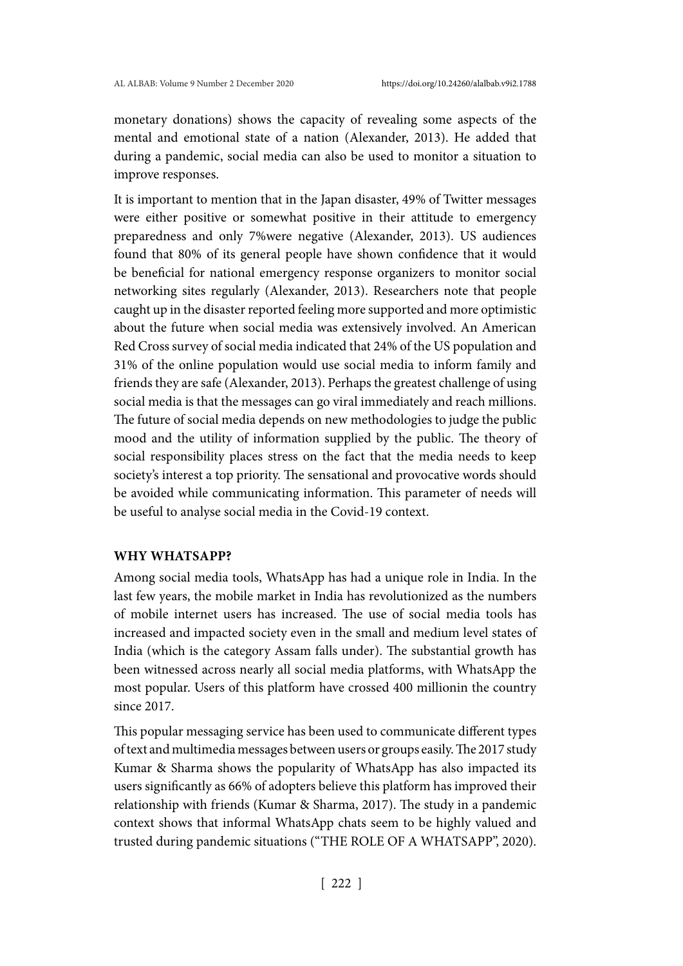monetary donations) shows the capacity of revealing some aspects of the mental and emotional state of a nation (Alexander, 2013). He added that during a pandemic, social media can also be used to monitor a situation to improve responses.

It is important to mention that in the Japan disaster, 49% of Twitter messages were either positive or somewhat positive in their attitude to emergency preparedness and only 7%were negative (Alexander, 2013). US audiences found that 80% of its general people have shown confidence that it would be beneficial for national emergency response organizers to monitor social networking sites regularly (Alexander, 2013). Researchers note that people caught up in the disaster reported feeling more supported and more optimistic about the future when social media was extensively involved. An American Red Cross survey of social media indicated that 24% of the US population and 31% of the online population would use social media to inform family and friends they are safe (Alexander, 2013). Perhaps the greatest challenge of using social media is that the messages can go viral immediately and reach millions. The future of social media depends on new methodologies to judge the public mood and the utility of information supplied by the public. The theory of social responsibility places stress on the fact that the media needs to keep society's interest a top priority. The sensational and provocative words should be avoided while communicating information. This parameter of needs will be useful to analyse social media in the Covid-19 context.

#### **WHY WHATSAPP?**

Among social media tools, WhatsApp has had a unique role in India. In the last few years, the mobile market in India has revolutionized as the numbers of mobile internet users has increased. The use of social media tools has increased and impacted society even in the small and medium level states of India (which is the category Assam falls under). The substantial growth has been witnessed across nearly all social media platforms, with WhatsApp the most popular. Users of this platform have crossed 400 millionin the country since 2017.

This popular messaging service has been used to communicate different types of text and multimedia messages between users or groups easily. The 2017 study Kumar & Sharma shows the popularity of WhatsApp has also impacted its users significantly as 66% of adopters believe this platform has improved their relationship with friends (Kumar & Sharma, 2017). The study in a pandemic context shows that informal WhatsApp chats seem to be highly valued and trusted during pandemic situations ("THE ROLE OF A WHATSAPP", 2020).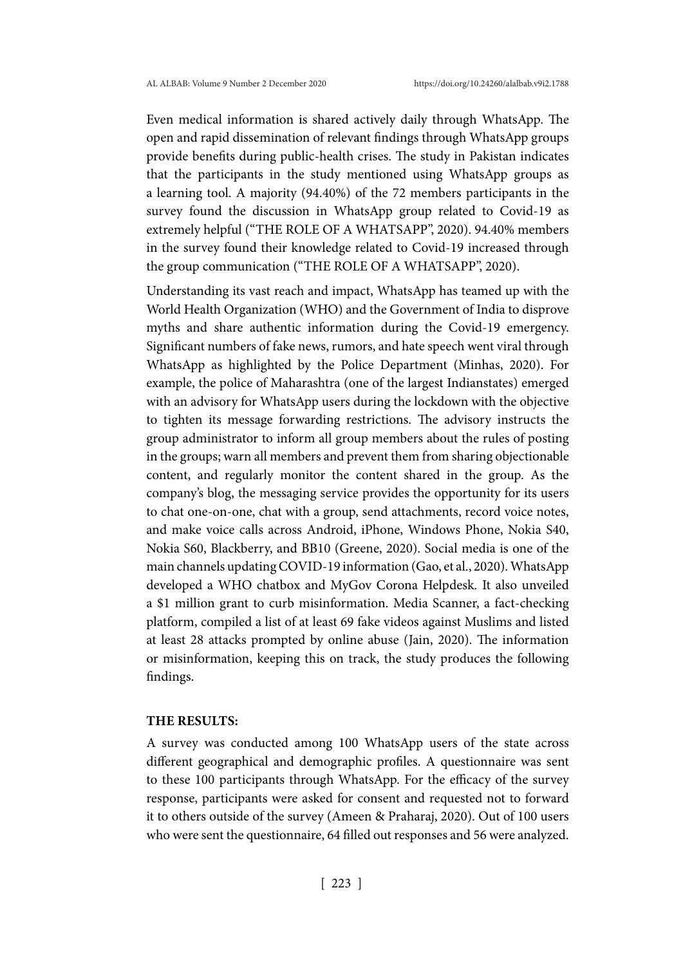Even medical information is shared actively daily through WhatsApp. The open and rapid dissemination of relevant findings through WhatsApp groups provide benefits during public-health crises. The study in Pakistan indicates that the participants in the study mentioned using WhatsApp groups as a learning tool. A majority (94.40%) of the 72 members participants in the survey found the discussion in WhatsApp group related to Covid-19 as extremely helpful ("THE ROLE OF A WHATSAPP", 2020). 94.40% members in the survey found their knowledge related to Covid-19 increased through the group communication ("THE ROLE OF A WHATSAPP", 2020).

Understanding its vast reach and impact, WhatsApp has teamed up with the World Health Organization (WHO) and the Government of India to disprove myths and share authentic information during the Covid-19 emergency. Significant numbers of fake news, rumors, and hate speech went viral through WhatsApp as highlighted by the Police Department (Minhas, 2020). For example, the police of Maharashtra (one of the largest Indianstates) emerged with an advisory for WhatsApp users during the lockdown with the objective to tighten its message forwarding restrictions. The advisory instructs the group administrator to inform all group members about the rules of posting in the groups; warn all members and prevent them from sharing objectionable content, and regularly monitor the content shared in the group. As the company's blog, the messaging service provides the opportunity for its users to chat one-on-one, chat with a group, send attachments, record voice notes, and make voice calls across Android, iPhone, Windows Phone, Nokia S40, Nokia S60, Blackberry, and BB10 (Greene, 2020). Social media is one of the main channels updating COVID-19 information (Gao, et al., 2020). WhatsApp developed a WHO chatbox and MyGov Corona Helpdesk*.* It also unveiled a \$1 million grant to curb misinformation. Media Scanner, a fact-checking platform, compiled a list of at least 69 fake videos against Muslims and listed at least 28 attacks prompted by online abuse (Jain, 2020). The information or misinformation, keeping this on track, the study produces the following findings.

#### **THE RESULTS:**

A survey was conducted among 100 WhatsApp users of the state across different geographical and demographic profiles. A questionnaire was sent to these 100 participants through WhatsApp. For the efficacy of the survey response, participants were asked for consent and requested not to forward it to others outside of the survey (Ameen & Praharaj, 2020). Out of 100 users who were sent the questionnaire, 64 filled out responses and 56 were analyzed.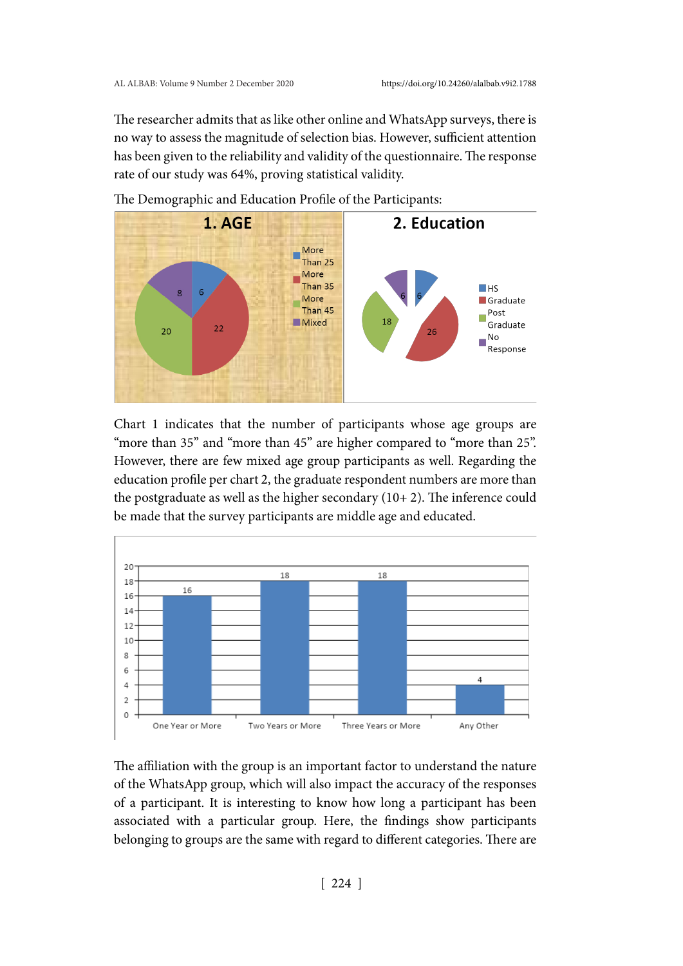The researcher admits that as like other online and WhatsApp surveys, there is no way to assess the magnitude of selection bias. However, sufficient attention has been given to the reliability and validity of the questionnaire. The response rate of our study was 64%, proving statistical validity.



The Demographic and Education Profile of the Participants:

Chart 1 indicates that the number of participants whose age groups are "more than 35" and "more than 45" are higher compared to "more than 25". However, there are few mixed age group participants as well. Regarding the education profile per chart 2, the graduate respondent numbers are more than the postgraduate as well as the higher secondary (10+ 2). The inference could be made that the survey participants are middle age and educated.



The affiliation with the group is an important factor to understand the nature of the WhatsApp group, which will also impact the accuracy of the responses of a participant. It is interesting to know how long a participant has been associated with a particular group. Here, the findings show participants belonging to groups are the same with regard to different categories. There are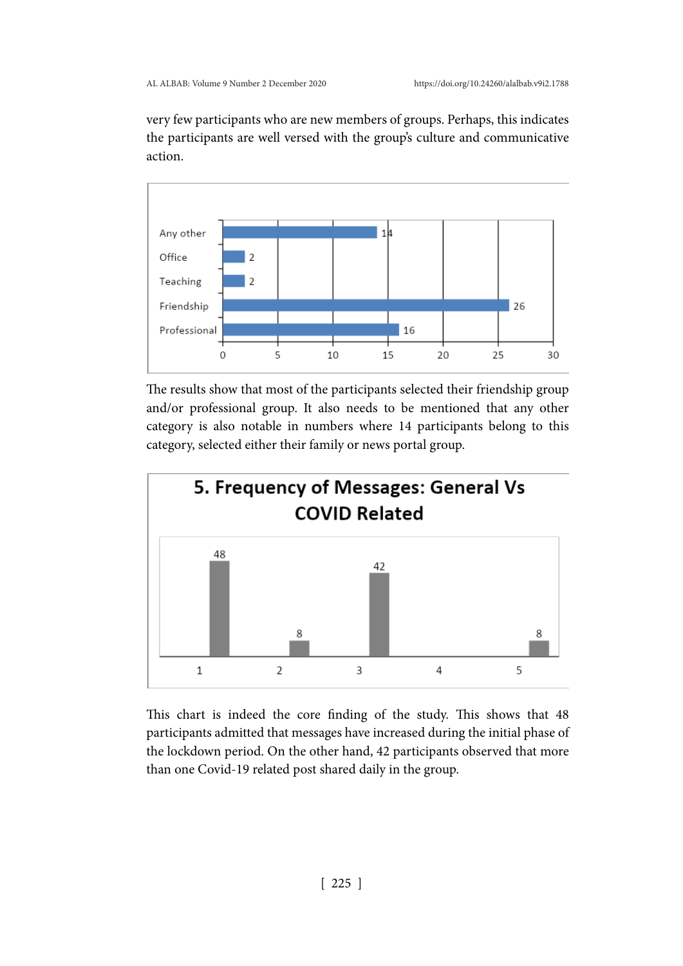very few participants who are new members of groups. Perhaps, this indicates the participants are well versed with the group's culture and communicative action.



The results show that most of the participants selected their friendship group and/or professional group. It also needs to be mentioned that any other category is also notable in numbers where 14 participants belong to this category, selected either their family or news portal group.



This chart is indeed the core finding of the study. This shows that 48 participants admitted that messages have increased during the initial phase of the lockdown period. On the other hand, 42 participants observed that more than one Covid-19 related post shared daily in the group.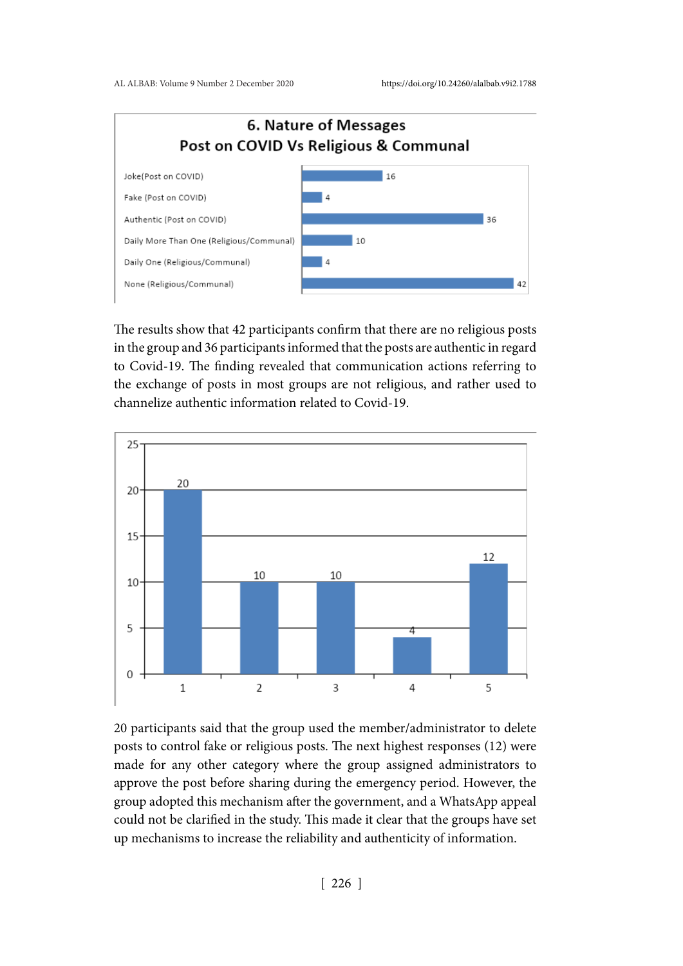

The results show that 42 participants confirm that there are no religious posts in the group and 36 participants informed that the posts are authentic in regard to Covid-19. The finding revealed that communication actions referring to the exchange of posts in most groups are not religious, and rather used to channelize authentic information related to Covid-19.



20 participants said that the group used the member/administrator to delete posts to control fake or religious posts. The next highest responses (12) were made for any other category where the group assigned administrators to approve the post before sharing during the emergency period. However, the group adopted this mechanism after the government, and a WhatsApp appeal could not be clarified in the study. This made it clear that the groups have set up mechanisms to increase the reliability and authenticity of information.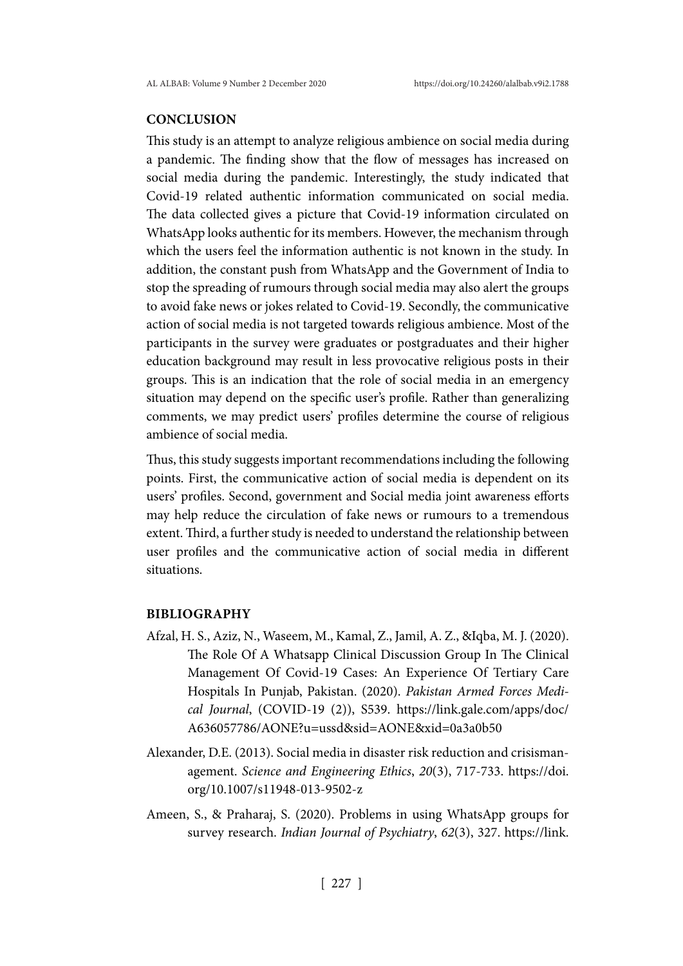# **CONCLUSION**

This study is an attempt to analyze religious ambience on social media during a pandemic. The finding show that the flow of messages has increased on social media during the pandemic. Interestingly, the study indicated that Covid-19 related authentic information communicated on social media. The data collected gives a picture that Covid-19 information circulated on WhatsApp looks authentic for its members. However, the mechanism through which the users feel the information authentic is not known in the study. In addition, the constant push from WhatsApp and the Government of India to stop the spreading of rumours through social media may also alert the groups to avoid fake news or jokes related to Covid-19. Secondly, the communicative action of social media is not targeted towards religious ambience. Most of the participants in the survey were graduates or postgraduates and their higher education background may result in less provocative religious posts in their groups. This is an indication that the role of social media in an emergency situation may depend on the specific user's profile. Rather than generalizing comments, we may predict users' profiles determine the course of religious ambience of social media.

Thus, this study suggests important recommendations including the following points. First, the communicative action of social media is dependent on its users' profiles. Second, government and Social media joint awareness efforts may help reduce the circulation of fake news or rumours to a tremendous extent. Third, a further study is needed to understand the relationship between user profiles and the communicative action of social media in different situations.

# **BIBLIOGRAPHY**

- Afzal, H. S., Aziz, N., Waseem, M., Kamal, Z., Jamil, A. Z., &Iqba, M. J. (2020). The Role Of A Whatsapp Clinical Discussion Group In The Clinical Management Of Covid-19 Cases: An Experience Of Tertiary Care Hospitals In Punjab, Pakistan. (2020). *Pakistan Armed Forces Medical Journal*, (COVID-19 (2)), S539. https://link.gale.com/apps/doc/ A636057786/AONE?u=ussd&sid=AONE&xid=0a3a0b50
- Alexander, D.E. (2013). Social media in disaster risk reduction and crisismanagement. *Science and Engineering Ethics*, *20*(3), 717-733. https://doi. org/10.1007/s11948-013-9502-z
- Ameen, S., & Praharaj, S. (2020). Problems in using WhatsApp groups for survey research. *Indian Journal of Psychiatry*, *62*(3), 327. https://link.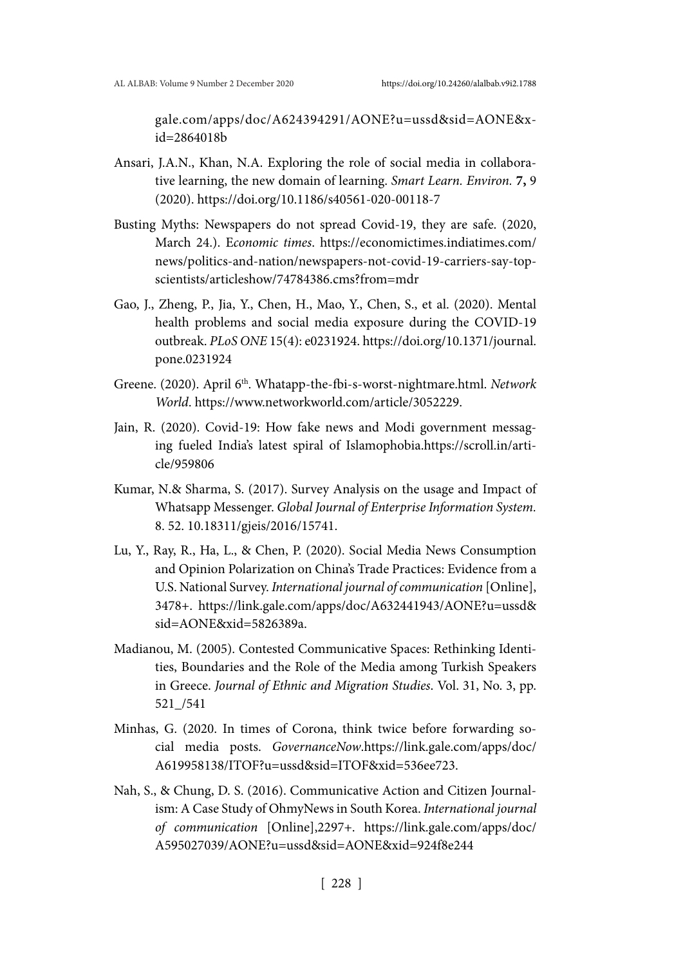gale.com/apps/doc/A624394291/AONE?u=ussd&sid=AONE&xid=2864018b

- Ansari, J.A.N., Khan, N.A. Exploring the role of social media in collaborative learning, the new domain of learning. *Smart Learn. Environ.* **7,** 9 (2020). https://doi.org/10.1186/s40561-020-00118-7
- Busting Myths: Newspapers do not spread Covid-19, they are safe. (2020, March 24.). E*conomic times*. https://economictimes.indiatimes.com/ news/politics-and-nation/newspapers-not-covid-19-carriers-say-topscientists/articleshow/74784386.cms?from=mdr
- Gao, J., Zheng, P., Jia, Y., Chen, H., Mao, Y., Chen, S., et al. (2020). Mental health problems and social media exposure during the COVID-19 outbreak. *PLoS ONE* 15(4): e0231924. https://doi.org/10.1371/journal. pone.0231924
- Greene. (2020). April 6<sup>th</sup>. Whatapp-the-fbi-s-worst-nightmare.html. *Network World*. https://www.networkworld.com/article/3052229.
- Jain, R. (2020). Covid-19: How fake news and Modi government messaging fueled India's latest spiral of Islamophobia.https://scroll.in/article/959806
- Kumar, N.& Sharma, S. (2017). Survey Analysis on the usage and Impact of Whatsapp Messenger. *Global Journal of Enterprise Information System.* 8. 52. 10.18311/gjeis/2016/15741.
- Lu, Y., Ray, R., Ha, L., & Chen, P. (2020). Social Media News Consumption and Opinion Polarization on China's Trade Practices: Evidence from a U.S. National Survey. *International journal of communication* [Online], 3478+. https://link.gale.com/apps/doc/A632441943/AONE?u=ussd& sid=AONE&xid=5826389a.
- Madianou, M. (2005). Contested Communicative Spaces: Rethinking Identities, Boundaries and the Role of the Media among Turkish Speakers in Greece. *Journal of Ethnic and Migration Studies*. Vol. 31, No. 3, pp. 521\_/541
- Minhas, G. (2020. In times of Corona, think twice before forwarding social media posts. *GovernanceNow*.https://link.gale.com/apps/doc/ A619958138/ITOF?u=ussd&sid=ITOF&xid=536ee723.
- Nah, S., & Chung, D. S. (2016). Communicative Action and Citizen Journalism: A Case Study of OhmyNews in South Korea. *International journal of communication* [Online],2297+. https://link.gale.com/apps/doc/ A595027039/AONE?u=ussd&sid=AONE&xid=924f8e244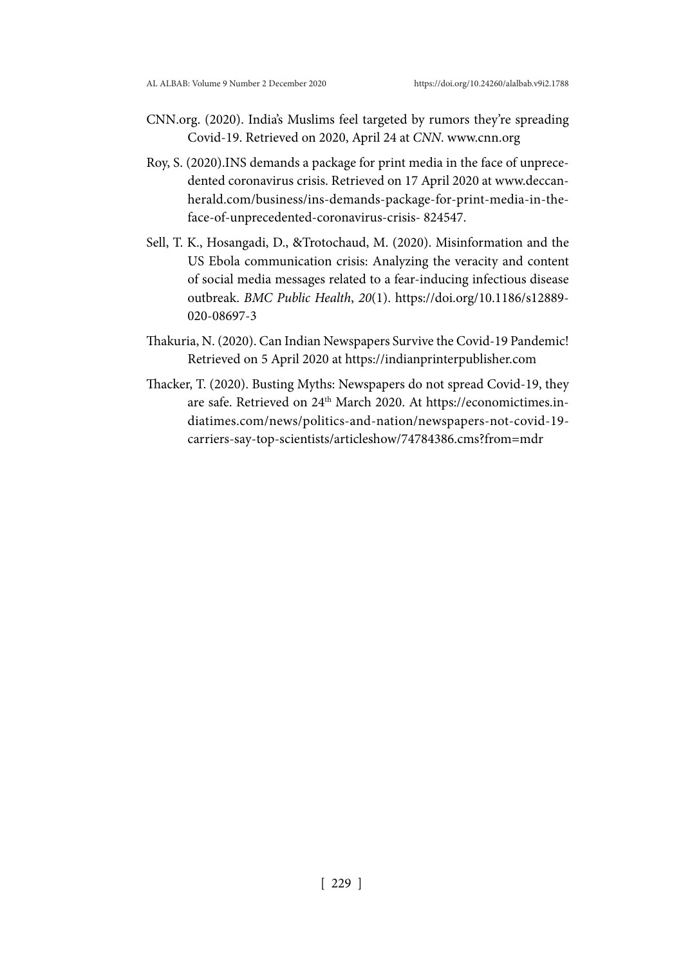- CNN.org. (2020). India's Muslims feel targeted by rumors they're spreading Covid-19. Retrieved on 2020, April 24 at *CNN*. www.cnn.org
- Roy, S. (2020).INS demands a package for print media in the face of unprecedented coronavirus crisis. Retrieved on 17 April 2020 at www.deccanherald.com/business/ins-demands-package-for-print-media-in-theface-of-unprecedented-coronavirus-crisis- 824547.
- Sell, T. K., Hosangadi, D., &Trotochaud, M. (2020). Misinformation and the US Ebola communication crisis: Analyzing the veracity and content of social media messages related to a fear-inducing infectious disease outbreak. *BMC Public Health*, *20*(1). https://doi.org/10.1186/s12889- 020-08697-3
- Thakuria, N. (2020). Can Indian Newspapers Survive the Covid-19 Pandemic! Retrieved on 5 April 2020 at https://indianprinterpublisher.com
- Thacker, T. (2020). Busting Myths: Newspapers do not spread Covid-19, they are safe. Retrieved on 24th March 2020. At https://economictimes.indiatimes.com/news/politics-and-nation/newspapers-not-covid-19 carriers-say-top-scientists/articleshow/74784386.cms?from=mdr